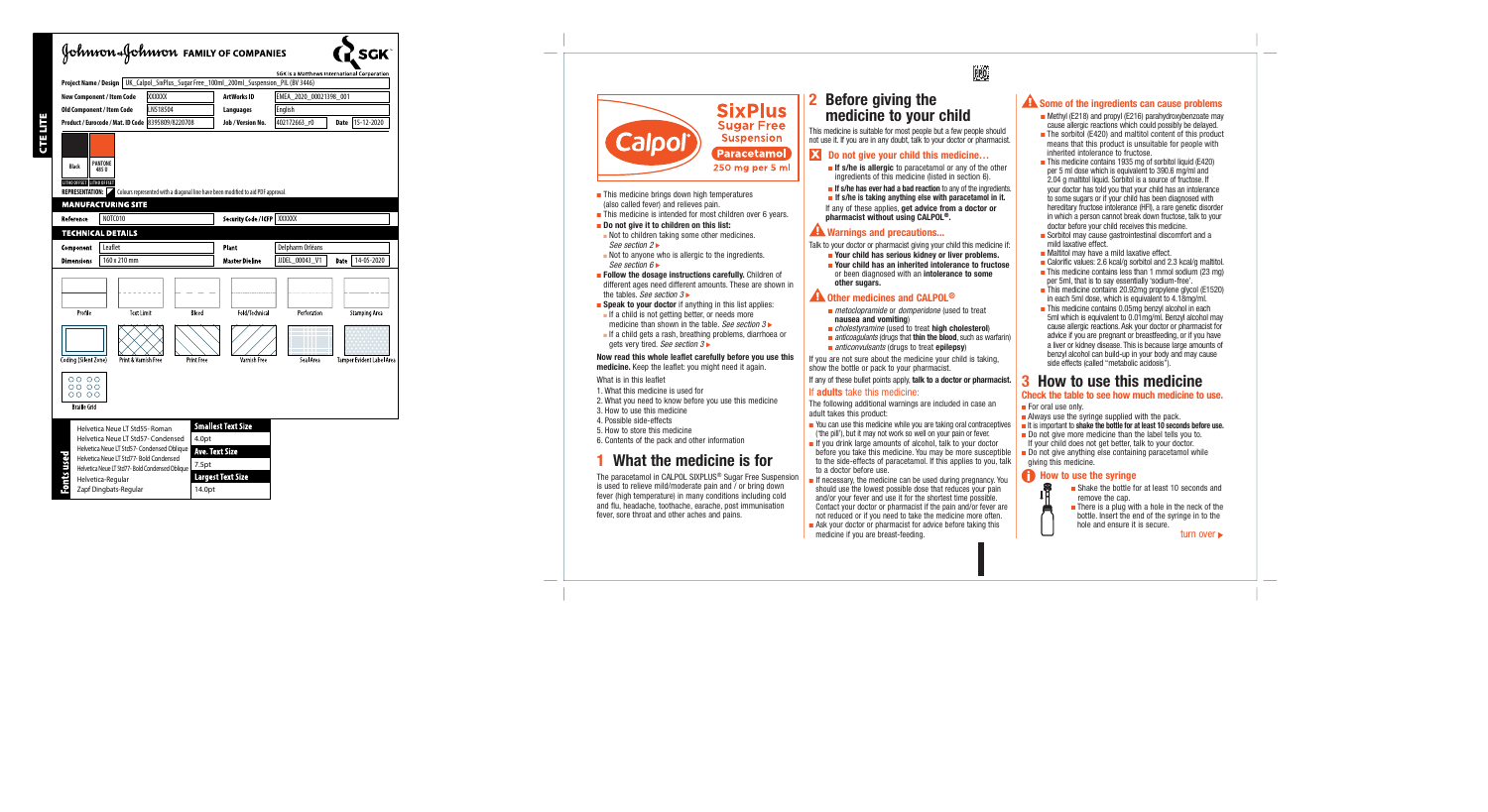

- This medicine brings down high temperatures (also called fever) and relieves pain.
- This medicine is intended for most children over 6 years.

#### ■ Do not give it to children on this list:

- Not to children taking some other medicines. *See section 2*
- Not to anyone who is allergic to the ingredients. *See section 6*
- Follow the dosage instructions carefully. Children of different ages need different amounts. These are shown in the tables. *See section 3*
- Speak to your doctor if anything in this list applies:
	- If a child is not getting better, or needs more medicine than shown in the table. *See section 3*
- If a child gets a rash, breathing problems, diarrhoea or gets very tired. *See section 3*

#### Now read this whole leaflet carefully before you use this medicine. Keep the leaflet: you might need it again.

#### What is in this leaflet

- 1. What this medicine is used for
- 2. What you need to know before you use this medicine
- 3. How to use this medicine
- 4. Possible side-effects
- 5. How to store this medicine
- 6. Contents of the pack and other information

# What the medicine is for

The paracetamol in CALPOL SIXPLUS ® Sugar Free Suspension is used to relieve mild/moderate pain and / or bring down fever (high temperature) in many conditions including cold and flu, headache, toothache, earache, post immunisation fever, sore throat and other aches and pains.

# 2 Before giving the medicine to your child

This medicine is suitable for most people but a few people should not use it. If you are in any doubt, talk to your doctor or pharmacist.

### **X** Do not give your child this medicine...

- **If s/he is allergic** to paracetamol or any of the other ingredients of this medicine (listed in section 6).
- **If s/he has ever had a bad reaction** to any of the ingredients.
- If s/he is taking anything else with paracetamol in it.

If any of these applies, get advice from a doctor or pharmacist without using CALPOL ®.

### **AN** Warnings and precautions...

Talk to your doctor or pharmacist giving your child this medicine if:

- Your child has serious kidney or liver problems.
- Your child has an inherited intolerance to fructose or been diagnosed with an intolerance to some other sugars.

### Other medicines and CALPOL ®

- *metoclopramide* or *domperidone* (used to treat nausea and vomiting )
- *cholestyramine* (used to treat high cholesterol)
- *anticoagulants* (drugs that **thin the blood**, such as warfarin)
- *anticonvulsants* (drugs to treat epilepsy)

If you are not sure about the medicine your child is taking, show the bottle or pack to your pharmacist.

If any of these bullet points apply, talk to a doctor or pharmacist.

#### If adults take this medicine:

The following additional warnings are included in case an adult takes this product:

- You can use this medicine while you are taking oral contraceptives ('the pill'), but it may not work so well on your pain or fever.
- If you drink large amounts of alcohol, talk to your doctor before you take this medicine. You may be more susceptible to the side-effects of paracetamol. If this applies to you, talk to a doctor before use.
- If necessary, the medicine can be used during pregnancy. You should use the lowest possible dose that reduces your pain and/or your fever and use it for the shortest time possible. Contact your doctor or pharmacist if the pain and/or fever are not reduced or if you need to take the medicine more often.
- Ask your doctor or pharmacist for advice before taking this medicine if you are breast-feeding.

### **A** Some of the ingredients can cause problems

- Methyl (E218) and propyl (E216) parahydroxybenzoate may cause allergic reactions which could possibly be delayed.
- The sorbitol (E420) and maltitol content of this product means that this product is unsuitable for people with inherited intolerance to fructose.
- This medicine contains 1935 mg of sorbitol liquid (E420) per 5 ml dose which is equivalent to 390.6 mg/ml and 2.04 g maltitol liquid. Sorbitol is a source of fructose. If your doctor has told you that your child has an intolerance to some sugars or if your child has been diagnosed with hereditary fructose intolerance (HFI), a rare genetic disorder in which a person cannot break down fructose, talk to your doctor before your child receives this medicine.
- Sorbitol may cause gastrointestinal discomfort and a mild laxative effect.
- Maltitol may have a mild laxative effect.
- Calorific values: 2.6 kcal/g sorbitol and 2.3 kcal/g maltitol.
- This medicine contains less than 1 mmol sodium (23 mg) per 5ml, that is to say essentially 'sodium-free'.
- This medicine contains 20.92mg propylene glycol (E1520) in each 5ml dose, which is equivalent to 4.18mg/ml.
- This medicine contains 0.05mg benzyl alcohol in each 5ml which is equivalent to 0.01mg/ml. Benzyl alcohol may cause allergic reactions. Ask your doctor or pharmacist for advice if you are pregnant or breastfeeding, or if you have a liver or kidney disease. This is because large amounts of benzyl alcohol can build-up in your body and may cause side effects (called "metabolic acidosis").

# 3 How to use this medicine

#### Check the table to see how much medicine to use.

- For oral use only.
- Always use the syringe supplied with the pack.
- It is important to shake the bottle for at least 10 seconds before use.
- Do not give more medicine than the label tells you to. If your child does not get better, talk to your doctor.
- Do not give anything else containing paracetamol while giving this medicine.

### **A** How to use the syringe ıi

- Shake the bottle for at least 10 seconds and remove the cap.
- There is a plug with a hole in the neck of the bottle. Insert the end of the syringe in to the hole and ensure it is secure.